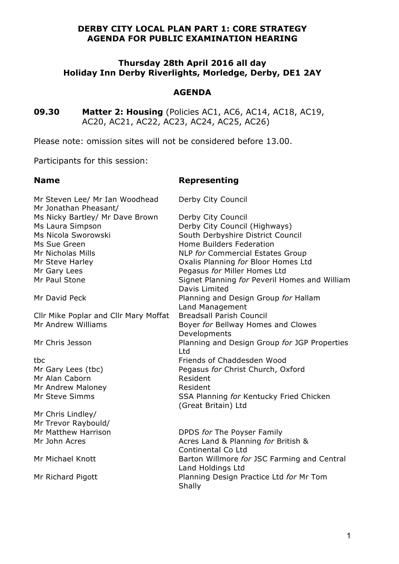## **DERBY CITY LOCAL PLAN PART 1: CORE STRATEGY AGENDA FOR PUBLIC EXAMINATION HEARING**

## **Thursday 28th April 2016 all day Holiday Inn Derby Riverlights, Morledge, Derby, DE1 2AY**

#### **AGENDA**

**09.30 Matter 2: Housing** (Policies AC1, AC6, AC14, AC18, AC19, AC20, AC21, AC22, AC23, AC24, AC25, AC26)

Please note: omission sites will not be considered before 13.00.

Participants for this session:

## **Name Representing**

| Mr Steven Lee/ Mr Ian Woodhead<br>Mr Jonathan Pheasant/ | Derby City Council                                               |
|---------------------------------------------------------|------------------------------------------------------------------|
| Ms Nicky Bartley/ Mr Dave Brown                         | Derby City Council                                               |
| Ms Laura Simpson                                        | Derby City Council (Highways)                                    |
| Ms Nicola Sworowski                                     | South Derbyshire District Council                                |
| Ms Sue Green                                            | Home Builders Federation                                         |
| Mr Nicholas Mills                                       | NLP for Commercial Estates Group                                 |
| Mr Steve Harley                                         | Oxalis Planning for Bloor Homes Ltd                              |
| Mr Gary Lees                                            | Pegasus for Miller Homes Ltd                                     |
| Mr Paul Stone                                           | Signet Planning for Peveril Homes and William                    |
|                                                         | Davis Limited                                                    |
| Mr David Peck                                           | Planning and Design Group for Hallam                             |
|                                                         | Land Management                                                  |
| Cllr Mike Poplar and Cllr Mary Moffat                   | <b>Breadsall Parish Council</b>                                  |
| Mr Andrew Williams                                      | Boyer for Bellway Homes and Clowes                               |
|                                                         | Developments                                                     |
| Mr Chris Jesson                                         | Planning and Design Group for JGP Properties                     |
|                                                         | Ltd                                                              |
| tbc                                                     | Friends of Chaddesden Wood                                       |
| Mr Gary Lees (tbc)                                      | Pegasus for Christ Church, Oxford                                |
| Mr Alan Caborn                                          | Resident                                                         |
| Mr Andrew Maloney                                       | Resident                                                         |
| Mr Steve Simms                                          | SSA Planning for Kentucky Fried Chicken                          |
|                                                         | (Great Britain) Ltd                                              |
| Mr Chris Lindley/                                       |                                                                  |
| Mr Trevor Raybould/                                     |                                                                  |
| Mr Matthew Harrison                                     | DPDS for The Poyser Family                                       |
| Mr John Acres                                           | Acres Land & Planning for British &                              |
|                                                         | Continental Co Ltd                                               |
| Mr Michael Knott                                        | Barton Willmore for JSC Farming and Central<br>Land Holdings Ltd |
| Mr Richard Pigott                                       | Planning Design Practice Ltd for Mr Tom<br>Shally                |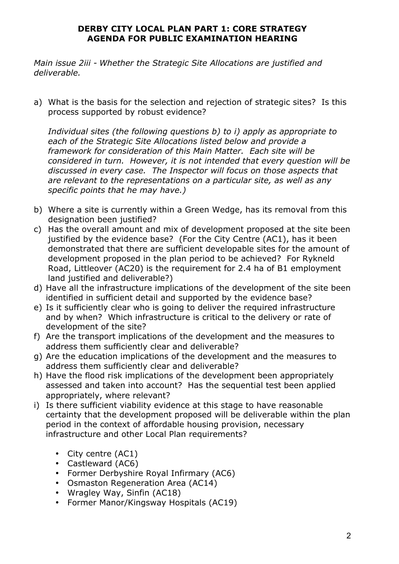# **DERBY CITY LOCAL PLAN PART 1: CORE STRATEGY AGENDA FOR PUBLIC EXAMINATION HEARING**

*Main issue 2iii - Whether the Strategic Site Allocations are justified and deliverable.* 

a) What is the basis for the selection and rejection of strategic sites? Is this process supported by robust evidence?

*Individual sites (the following questions b) to i) apply as appropriate to each of the Strategic Site Allocations listed below and provide a framework for consideration of this Main Matter. Each site will be considered in turn. However, it is not intended that every question will be discussed in every case. The Inspector will focus on those aspects that are relevant to the representations on a particular site, as well as any specific points that he may have.)* 

- b) Where a site is currently within a Green Wedge, has its removal from this designation been justified?
- c) Has the overall amount and mix of development proposed at the site been justified by the evidence base? (For the City Centre (AC1), has it been demonstrated that there are sufficient developable sites for the amount of development proposed in the plan period to be achieved? For Rykneld Road, Littleover (AC20) is the requirement for 2.4 ha of B1 employment land justified and deliverable?)
- d) Have all the infrastructure implications of the development of the site been identified in sufficient detail and supported by the evidence base?
- e) Is it sufficiently clear who is going to deliver the required infrastructure and by when? Which infrastructure is critical to the delivery or rate of development of the site?
- f) Are the transport implications of the development and the measures to address them sufficiently clear and deliverable?
- g) Are the education implications of the development and the measures to address them sufficiently clear and deliverable?
- h) Have the flood risk implications of the development been appropriately assessed and taken into account? Has the sequential test been applied appropriately, where relevant?
- i) Is there sufficient viability evidence at this stage to have reasonable certainty that the development proposed will be deliverable within the plan period in the context of affordable housing provision, necessary infrastructure and other Local Plan requirements?
	- City centre (AC1)
	- Castleward (AC6)
	- Former Derbyshire Royal Infirmary (AC6)
	- Osmaston Regeneration Area (AC14)
	- Wragley Way, Sinfin (AC18)
	- Former Manor/Kingsway Hospitals (AC19)